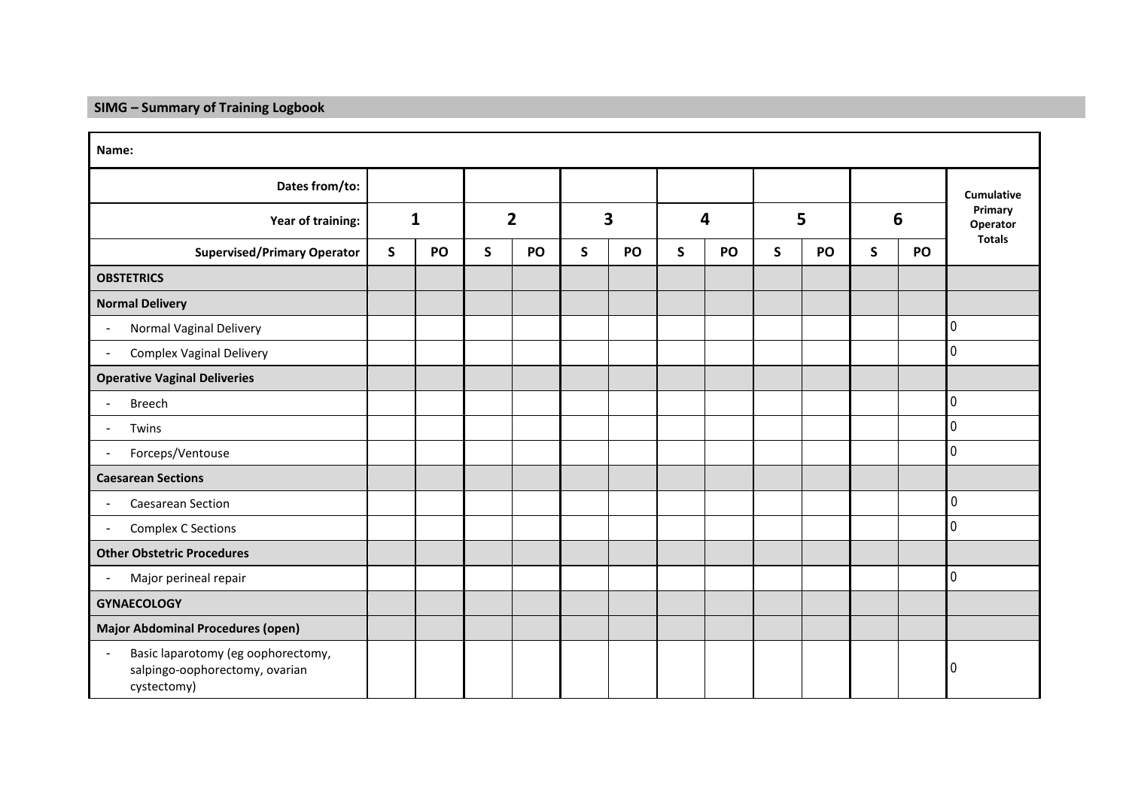## **SIMG – Summary of Training Logbook**

| Name:                                                                               |              |    |                |    |                         |    |              |    |              |    |              |    |                     |
|-------------------------------------------------------------------------------------|--------------|----|----------------|----|-------------------------|----|--------------|----|--------------|----|--------------|----|---------------------|
| Dates from/to:                                                                      |              |    |                |    |                         |    |              |    |              |    |              |    | Cumulative          |
| Year of training:                                                                   | $\mathbf{1}$ |    | $\overline{2}$ |    | $\overline{\mathbf{3}}$ |    | 4            |    | 5            |    | 6            |    | Primary<br>Operator |
| <b>Supervised/Primary Operator</b>                                                  | $\mathsf{S}$ | PO | $\mathsf{S}$   | PO | $\mathsf{S}$            | PO | $\mathsf{S}$ | PO | $\mathsf{S}$ | PO | $\mathsf{s}$ | PO | <b>Totals</b>       |
| <b>OBSTETRICS</b>                                                                   |              |    |                |    |                         |    |              |    |              |    |              |    |                     |
| <b>Normal Delivery</b>                                                              |              |    |                |    |                         |    |              |    |              |    |              |    |                     |
| Normal Vaginal Delivery<br>$\blacksquare$                                           |              |    |                |    |                         |    |              |    |              |    |              |    | $\overline{0}$      |
| <b>Complex Vaginal Delivery</b><br>$\blacksquare$                                   |              |    |                |    |                         |    |              |    |              |    |              |    | $\Omega$            |
| <b>Operative Vaginal Deliveries</b>                                                 |              |    |                |    |                         |    |              |    |              |    |              |    |                     |
| <b>Breech</b>                                                                       |              |    |                |    |                         |    |              |    |              |    |              |    | $\overline{0}$      |
| Twins                                                                               |              |    |                |    |                         |    |              |    |              |    |              |    | $\Omega$            |
| Forceps/Ventouse<br>$\blacksquare$                                                  |              |    |                |    |                         |    |              |    |              |    |              |    | $\Omega$            |
| <b>Caesarean Sections</b>                                                           |              |    |                |    |                         |    |              |    |              |    |              |    |                     |
| Caesarean Section<br>$\blacksquare$                                                 |              |    |                |    |                         |    |              |    |              |    |              |    | 0                   |
| <b>Complex C Sections</b><br>$\blacksquare$                                         |              |    |                |    |                         |    |              |    |              |    |              |    | $\overline{0}$      |
| <b>Other Obstetric Procedures</b>                                                   |              |    |                |    |                         |    |              |    |              |    |              |    |                     |
| Major perineal repair<br>$\blacksquare$                                             |              |    |                |    |                         |    |              |    |              |    |              |    | $\Omega$            |
| <b>GYNAECOLOGY</b>                                                                  |              |    |                |    |                         |    |              |    |              |    |              |    |                     |
| <b>Major Abdominal Procedures (open)</b>                                            |              |    |                |    |                         |    |              |    |              |    |              |    |                     |
| Basic laparotomy (eg oophorectomy,<br>salpingo-oophorectomy, ovarian<br>cystectomy) |              |    |                |    |                         |    |              |    |              |    |              |    | 0                   |